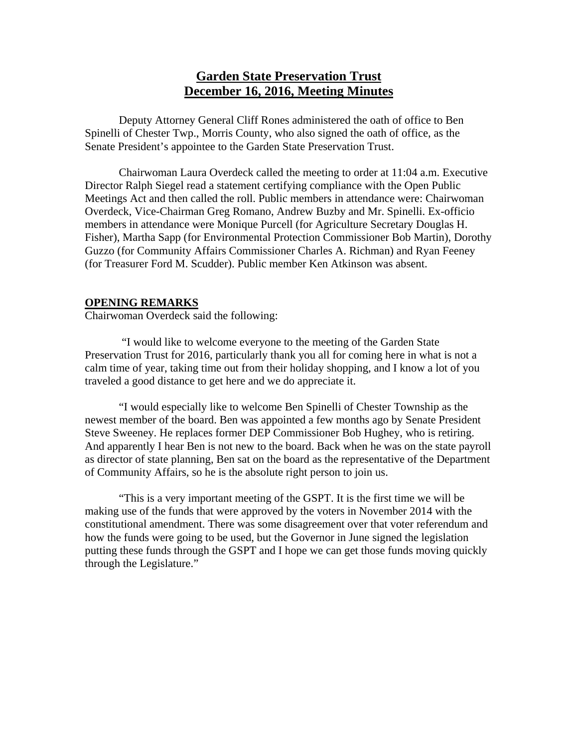# **Garden State Preservation Trust December 16, 2016, Meeting Minutes**

Deputy Attorney General Cliff Rones administered the oath of office to Ben Spinelli of Chester Twp., Morris County, who also signed the oath of office, as the Senate President's appointee to the Garden State Preservation Trust.

Chairwoman Laura Overdeck called the meeting to order at 11:04 a.m. Executive Director Ralph Siegel read a statement certifying compliance with the Open Public Meetings Act and then called the roll. Public members in attendance were: Chairwoman Overdeck, Vice-Chairman Greg Romano, Andrew Buzby and Mr. Spinelli. Ex-officio members in attendance were Monique Purcell (for Agriculture Secretary Douglas H. Fisher), Martha Sapp (for Environmental Protection Commissioner Bob Martin), Dorothy Guzzo (for Community Affairs Commissioner Charles A. Richman) and Ryan Feeney (for Treasurer Ford M. Scudder). Public member Ken Atkinson was absent.

#### **OPENING REMARKS**

Chairwoman Overdeck said the following:

 "I would like to welcome everyone to the meeting of the Garden State Preservation Trust for 2016, particularly thank you all for coming here in what is not a calm time of year, taking time out from their holiday shopping, and I know a lot of you traveled a good distance to get here and we do appreciate it.

 "I would especially like to welcome Ben Spinelli of Chester Township as the newest member of the board. Ben was appointed a few months ago by Senate President Steve Sweeney. He replaces former DEP Commissioner Bob Hughey, who is retiring. And apparently I hear Ben is not new to the board. Back when he was on the state payroll as director of state planning, Ben sat on the board as the representative of the Department of Community Affairs, so he is the absolute right person to join us.

 "This is a very important meeting of the GSPT. It is the first time we will be making use of the funds that were approved by the voters in November 2014 with the constitutional amendment. There was some disagreement over that voter referendum and how the funds were going to be used, but the Governor in June signed the legislation putting these funds through the GSPT and I hope we can get those funds moving quickly through the Legislature."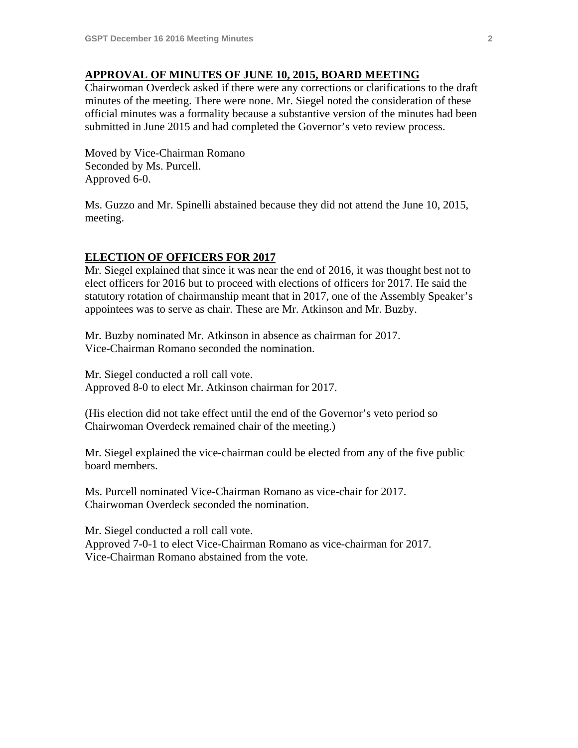#### **APPROVAL OF MINUTES OF JUNE 10, 2015, BOARD MEETING**

Chairwoman Overdeck asked if there were any corrections or clarifications to the draft minutes of the meeting. There were none. Mr. Siegel noted the consideration of these official minutes was a formality because a substantive version of the minutes had been submitted in June 2015 and had completed the Governor's veto review process.

Moved by Vice-Chairman Romano Seconded by Ms. Purcell. Approved 6-0.

Ms. Guzzo and Mr. Spinelli abstained because they did not attend the June 10, 2015, meeting.

#### **ELECTION OF OFFICERS FOR 2017**

Mr. Siegel explained that since it was near the end of 2016, it was thought best not to elect officers for 2016 but to proceed with elections of officers for 2017. He said the statutory rotation of chairmanship meant that in 2017, one of the Assembly Speaker's appointees was to serve as chair. These are Mr. Atkinson and Mr. Buzby.

Mr. Buzby nominated Mr. Atkinson in absence as chairman for 2017. Vice-Chairman Romano seconded the nomination.

Mr. Siegel conducted a roll call vote. Approved 8-0 to elect Mr. Atkinson chairman for 2017.

(His election did not take effect until the end of the Governor's veto period so Chairwoman Overdeck remained chair of the meeting.)

Mr. Siegel explained the vice-chairman could be elected from any of the five public board members.

Ms. Purcell nominated Vice-Chairman Romano as vice-chair for 2017. Chairwoman Overdeck seconded the nomination.

Mr. Siegel conducted a roll call vote. Approved 7-0-1 to elect Vice-Chairman Romano as vice-chairman for 2017. Vice-Chairman Romano abstained from the vote.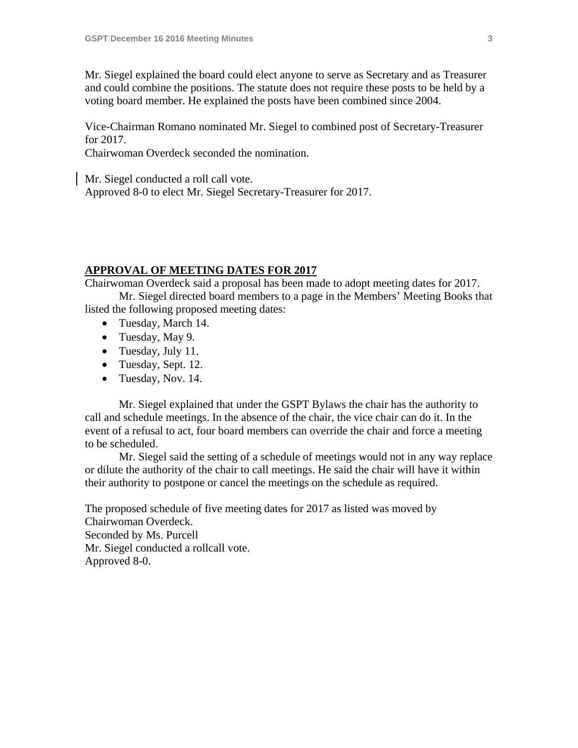Mr. Siegel explained the board could elect anyone to serve as Secretary and as Treasurer and could combine the positions. The statute does not require these posts to be held by a voting board member. He explained the posts have been combined since 2004.

Vice-Chairman Romano nominated Mr. Siegel to combined post of Secretary-Treasurer for 2017.

Chairwoman Overdeck seconded the nomination.

Mr. Siegel conducted a roll call vote.

Approved 8-0 to elect Mr. Siegel Secretary-Treasurer for 2017.

#### **APPROVAL OF MEETING DATES FOR 2017**

Chairwoman Overdeck said a proposal has been made to adopt meeting dates for 2017.

 Mr. Siegel directed board members to a page in the Members' Meeting Books that listed the following proposed meeting dates:

- Tuesday, March 14.
- Tuesday, May 9.
- Tuesday, July 11.
- Tuesday, Sept. 12.
- Tuesday, Nov. 14.

 Mr. Siegel explained that under the GSPT Bylaws the chair has the authority to call and schedule meetings. In the absence of the chair, the vice chair can do it. In the event of a refusal to act, four board members can override the chair and force a meeting to be scheduled.

 Mr. Siegel said the setting of a schedule of meetings would not in any way replace or dilute the authority of the chair to call meetings. He said the chair will have it within their authority to postpone or cancel the meetings on the schedule as required.

The proposed schedule of five meeting dates for 2017 as listed was moved by Chairwoman Overdeck. Seconded by Ms. Purcell Mr. Siegel conducted a rollcall vote. Approved 8-0.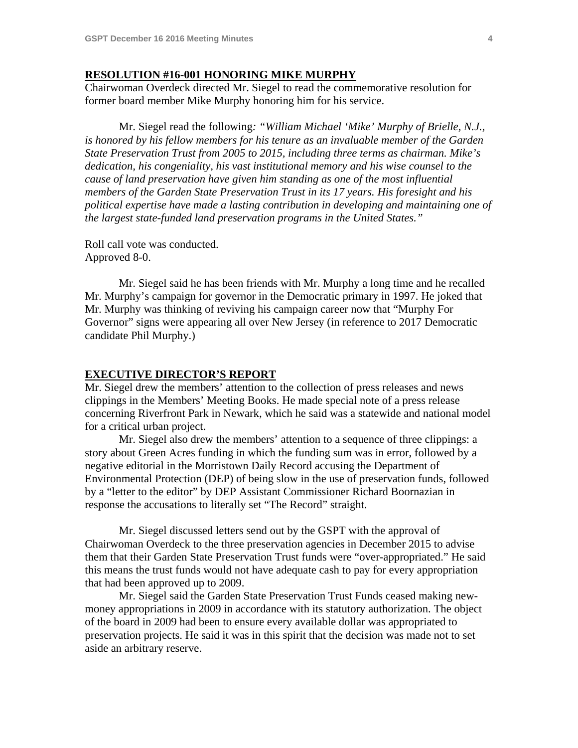#### **RESOLUTION #16-001 HONORING MIKE MURPHY**

Chairwoman Overdeck directed Mr. Siegel to read the commemorative resolution for former board member Mike Murphy honoring him for his service.

 Mr. Siegel read the following*: "William Michael 'Mike' Murphy of Brielle, N.J., is honored by his fellow members for his tenure as an invaluable member of the Garden State Preservation Trust from 2005 to 2015, including three terms as chairman. Mike's dedication, his congeniality, his vast institutional memory and his wise counsel to the cause of land preservation have given him standing as one of the most influential members of the Garden State Preservation Trust in its 17 years. His foresight and his political expertise have made a lasting contribution in developing and maintaining one of the largest state-funded land preservation programs in the United States."*

Roll call vote was conducted. Approved 8-0.

 Mr. Siegel said he has been friends with Mr. Murphy a long time and he recalled Mr. Murphy's campaign for governor in the Democratic primary in 1997. He joked that Mr. Murphy was thinking of reviving his campaign career now that "Murphy For Governor" signs were appearing all over New Jersey (in reference to 2017 Democratic candidate Phil Murphy.)

#### **EXECUTIVE DIRECTOR'S REPORT**

Mr. Siegel drew the members' attention to the collection of press releases and news clippings in the Members' Meeting Books. He made special note of a press release concerning Riverfront Park in Newark, which he said was a statewide and national model for a critical urban project.

 Mr. Siegel also drew the members' attention to a sequence of three clippings: a story about Green Acres funding in which the funding sum was in error, followed by a negative editorial in the Morristown Daily Record accusing the Department of Environmental Protection (DEP) of being slow in the use of preservation funds, followed by a "letter to the editor" by DEP Assistant Commissioner Richard Boornazian in response the accusations to literally set "The Record" straight.

 Mr. Siegel discussed letters send out by the GSPT with the approval of Chairwoman Overdeck to the three preservation agencies in December 2015 to advise them that their Garden State Preservation Trust funds were "over-appropriated." He said this means the trust funds would not have adequate cash to pay for every appropriation that had been approved up to 2009.

 Mr. Siegel said the Garden State Preservation Trust Funds ceased making newmoney appropriations in 2009 in accordance with its statutory authorization. The object of the board in 2009 had been to ensure every available dollar was appropriated to preservation projects. He said it was in this spirit that the decision was made not to set aside an arbitrary reserve.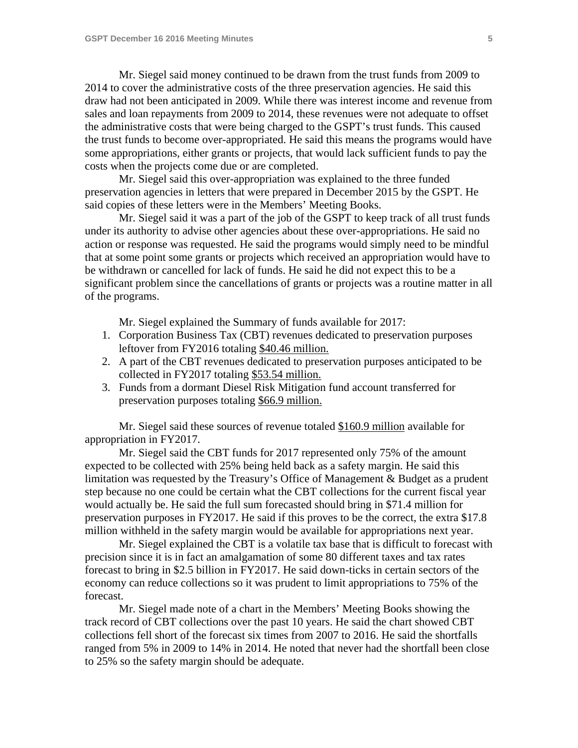Mr. Siegel said money continued to be drawn from the trust funds from 2009 to 2014 to cover the administrative costs of the three preservation agencies. He said this draw had not been anticipated in 2009. While there was interest income and revenue from sales and loan repayments from 2009 to 2014, these revenues were not adequate to offset the administrative costs that were being charged to the GSPT's trust funds. This caused the trust funds to become over-appropriated. He said this means the programs would have some appropriations, either grants or projects, that would lack sufficient funds to pay the costs when the projects come due or are completed.

 Mr. Siegel said this over-appropriation was explained to the three funded preservation agencies in letters that were prepared in December 2015 by the GSPT. He said copies of these letters were in the Members' Meeting Books.

 Mr. Siegel said it was a part of the job of the GSPT to keep track of all trust funds under its authority to advise other agencies about these over-appropriations. He said no action or response was requested. He said the programs would simply need to be mindful that at some point some grants or projects which received an appropriation would have to be withdrawn or cancelled for lack of funds. He said he did not expect this to be a significant problem since the cancellations of grants or projects was a routine matter in all of the programs.

Mr. Siegel explained the Summary of funds available for 2017:

- 1. Corporation Business Tax (CBT) revenues dedicated to preservation purposes leftover from FY2016 totaling \$40.46 million.
- 2. A part of the CBT revenues dedicated to preservation purposes anticipated to be collected in FY2017 totaling \$53.54 million.
- 3. Funds from a dormant Diesel Risk Mitigation fund account transferred for preservation purposes totaling \$66.9 million.

 Mr. Siegel said these sources of revenue totaled \$160.9 million available for appropriation in FY2017.

 Mr. Siegel said the CBT funds for 2017 represented only 75% of the amount expected to be collected with 25% being held back as a safety margin. He said this limitation was requested by the Treasury's Office of Management & Budget as a prudent step because no one could be certain what the CBT collections for the current fiscal year would actually be. He said the full sum forecasted should bring in \$71.4 million for preservation purposes in FY2017. He said if this proves to be the correct, the extra \$17.8 million withheld in the safety margin would be available for appropriations next year.

 Mr. Siegel explained the CBT is a volatile tax base that is difficult to forecast with precision since it is in fact an amalgamation of some 80 different taxes and tax rates forecast to bring in \$2.5 billion in FY2017. He said down-ticks in certain sectors of the economy can reduce collections so it was prudent to limit appropriations to 75% of the forecast.

 Mr. Siegel made note of a chart in the Members' Meeting Books showing the track record of CBT collections over the past 10 years. He said the chart showed CBT collections fell short of the forecast six times from 2007 to 2016. He said the shortfalls ranged from 5% in 2009 to 14% in 2014. He noted that never had the shortfall been close to 25% so the safety margin should be adequate.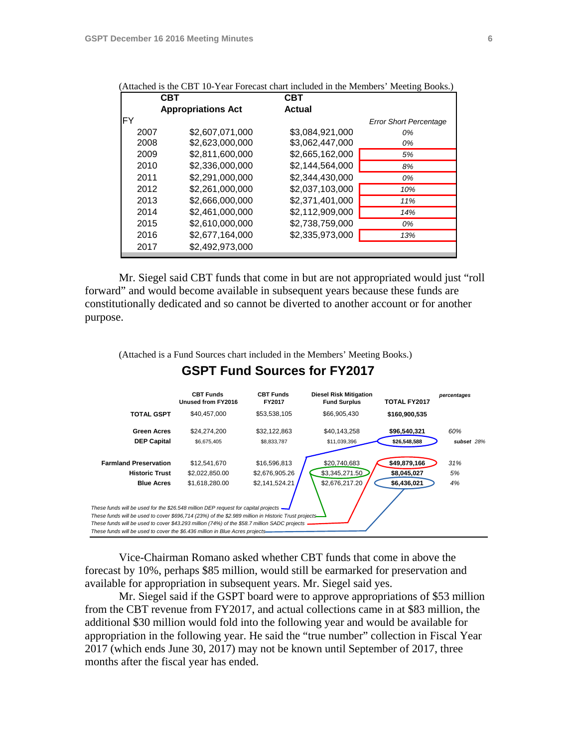|      | <b>CBT</b>                | <b>CBT</b>      |                               |
|------|---------------------------|-----------------|-------------------------------|
|      | <b>Appropriations Act</b> | <b>Actual</b>   |                               |
| FY   |                           |                 | <b>Error Short Percentage</b> |
| 2007 | \$2.607.071.000           | \$3,084,921,000 | 0%                            |
| 2008 | \$2,623,000,000           | \$3,062,447,000 | 0%                            |
| 2009 | \$2.811.600.000           | \$2,665,162,000 | 5%                            |
| 2010 | \$2,336,000,000           | \$2,144,564,000 | 8%                            |
| 2011 | \$2,291,000,000           | \$2,344,430,000 | 0%                            |
| 2012 | \$2,261,000,000           | \$2,037,103,000 | 10%                           |
| 2013 | \$2.666.000.000           | \$2,371,401,000 | 11%                           |
| 2014 | \$2.461.000.000           | \$2.112.909.000 | 14%                           |
| 2015 | \$2,610,000,000           | \$2,738,759,000 | 0%                            |
| 2016 | \$2,677,164,000           | \$2,335,973,000 | 13%                           |
| 2017 | \$2,492,973,000           |                 |                               |
|      |                           |                 |                               |

(Attached is the CBT 10-Year Forecast chart included in the Members' Meeting Books.)

 Mr. Siegel said CBT funds that come in but are not appropriated would just "roll forward" and would become available in subsequent years because these funds are constitutionally dedicated and so cannot be diverted to another account or for another purpose.

(Attached is a Fund Sources chart included in the Members' Meeting Books.)

#### **GSPT Fund Sources for FY2017**



 Vice-Chairman Romano asked whether CBT funds that come in above the forecast by 10%, perhaps \$85 million, would still be earmarked for preservation and available for appropriation in subsequent years. Mr. Siegel said yes.

 Mr. Siegel said if the GSPT board were to approve appropriations of \$53 million from the CBT revenue from FY2017, and actual collections came in at \$83 million, the additional \$30 million would fold into the following year and would be available for appropriation in the following year. He said the "true number" collection in Fiscal Year 2017 (which ends June 30, 2017) may not be known until September of 2017, three months after the fiscal year has ended.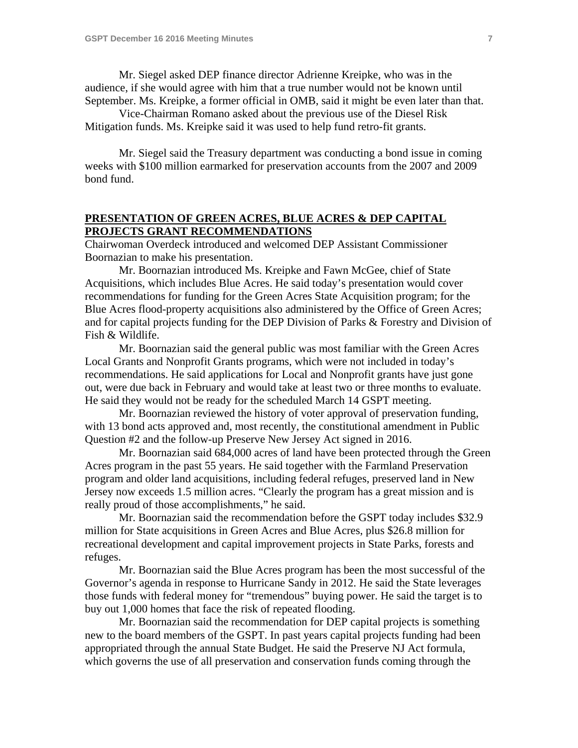Mr. Siegel asked DEP finance director Adrienne Kreipke, who was in the audience, if she would agree with him that a true number would not be known until September. Ms. Kreipke, a former official in OMB, said it might be even later than that.

 Vice-Chairman Romano asked about the previous use of the Diesel Risk Mitigation funds. Ms. Kreipke said it was used to help fund retro-fit grants.

 Mr. Siegel said the Treasury department was conducting a bond issue in coming weeks with \$100 million earmarked for preservation accounts from the 2007 and 2009 bond fund.

### **PRESENTATION OF GREEN ACRES, BLUE ACRES & DEP CAPITAL PROJECTS GRANT RECOMMENDATIONS**

Chairwoman Overdeck introduced and welcomed DEP Assistant Commissioner Boornazian to make his presentation.

 Mr. Boornazian introduced Ms. Kreipke and Fawn McGee, chief of State Acquisitions, which includes Blue Acres. He said today's presentation would cover recommendations for funding for the Green Acres State Acquisition program; for the Blue Acres flood-property acquisitions also administered by the Office of Green Acres; and for capital projects funding for the DEP Division of Parks & Forestry and Division of Fish & Wildlife.

 Mr. Boornazian said the general public was most familiar with the Green Acres Local Grants and Nonprofit Grants programs, which were not included in today's recommendations. He said applications for Local and Nonprofit grants have just gone out, were due back in February and would take at least two or three months to evaluate. He said they would not be ready for the scheduled March 14 GSPT meeting.

 Mr. Boornazian reviewed the history of voter approval of preservation funding, with 13 bond acts approved and, most recently, the constitutional amendment in Public Question #2 and the follow-up Preserve New Jersey Act signed in 2016.

 Mr. Boornazian said 684,000 acres of land have been protected through the Green Acres program in the past 55 years. He said together with the Farmland Preservation program and older land acquisitions, including federal refuges, preserved land in New Jersey now exceeds 1.5 million acres. "Clearly the program has a great mission and is really proud of those accomplishments," he said.

 Mr. Boornazian said the recommendation before the GSPT today includes \$32.9 million for State acquisitions in Green Acres and Blue Acres, plus \$26.8 million for recreational development and capital improvement projects in State Parks, forests and refuges.

 Mr. Boornazian said the Blue Acres program has been the most successful of the Governor's agenda in response to Hurricane Sandy in 2012. He said the State leverages those funds with federal money for "tremendous" buying power. He said the target is to buy out 1,000 homes that face the risk of repeated flooding.

 Mr. Boornazian said the recommendation for DEP capital projects is something new to the board members of the GSPT. In past years capital projects funding had been appropriated through the annual State Budget. He said the Preserve NJ Act formula, which governs the use of all preservation and conservation funds coming through the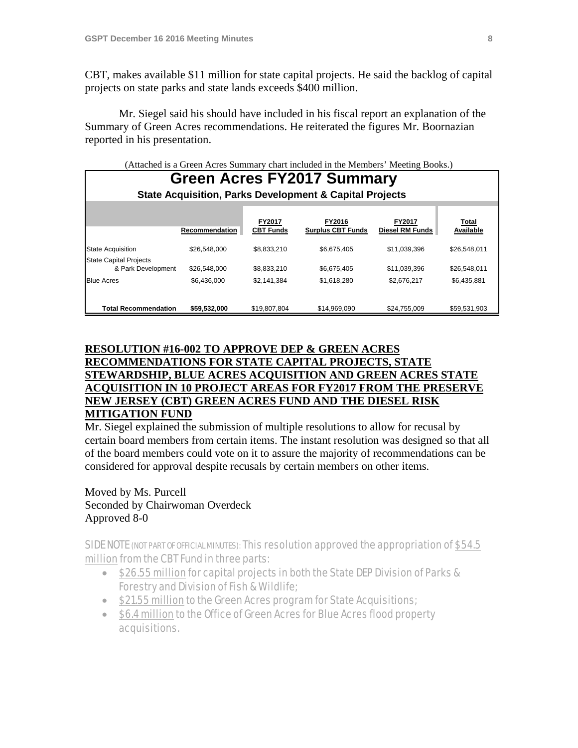CBT, makes available \$11 million for state capital projects. He said the backlog of capital projects on state parks and state lands exceeds \$400 million.

 Mr. Siegel said his should have included in his fiscal report an explanation of the Summary of Green Acres recommendations. He reiterated the figures Mr. Boornazian reported in his presentation.

#### (Attached is a Green Acres Summary chart included in the Members' Meeting Books.)

| <b>Green Acres FY2017 Summary</b><br><b>State Acquisition, Parks Development &amp; Capital Projects</b> |                |                            |                                    |                                         |                    |  |  |  |
|---------------------------------------------------------------------------------------------------------|----------------|----------------------------|------------------------------------|-----------------------------------------|--------------------|--|--|--|
|                                                                                                         | Recommendation | FY2017<br><b>CBT Funds</b> | FY2016<br><b>Surplus CBT Funds</b> | <b>FY2017</b><br><b>Diesel RM Funds</b> | Total<br>Available |  |  |  |
| <b>State Acquisition</b>                                                                                | \$26,548,000   | \$8.833.210                | \$6.675.405                        | \$11.039.396                            | \$26.548.011       |  |  |  |
| <b>State Capital Projects</b><br>& Park Development                                                     | \$26,548,000   | \$8,833,210                | \$6,675,405                        | \$11,039,396                            | \$26,548,011       |  |  |  |
| <b>Blue Acres</b>                                                                                       | \$6,436,000    | \$2,141,384                | \$1,618,280                        | \$2,676,217                             | \$6,435,881        |  |  |  |
| <b>Total Recommendation</b>                                                                             | \$59,532,000   | \$19,807,804               | \$14,969,090                       | \$24,755,009                            | \$59,531,903       |  |  |  |

# **RESOLUTION #16-002 TO APPROVE DEP & GREEN ACRES RECOMMENDATIONS FOR STATE CAPITAL PROJECTS, STATE STEWARDSHIP, BLUE ACRES ACQUISITION AND GREEN ACRES STATE ACQUISITION IN 10 PROJECT AREAS FOR FY2017 FROM THE PRESERVE NEW JERSEY (CBT) GREEN ACRES FUND AND THE DIESEL RISK MITIGATION FUND**

Mr. Siegel explained the submission of multiple resolutions to allow for recusal by certain board members from certain items. The instant resolution was designed so that all of the board members could vote on it to assure the majority of recommendations can be considered for approval despite recusals by certain members on other items.

Moved by Ms. Purcell Seconded by Chairwoman Overdeck Approved 8-0

SIDE NOTE (NOT PART OF OFFICIAL MINUTES): This resolution approved the appropriation of \$54.5 million from the CBT Fund in three parts:

- \$26.55 million for capital projects in both the State DEP Division of Parks & Forestry and Division of Fish & Wildlife;
- \$21.55 million to the Green Acres program for State Acquisitions;
- \$6.4 million to the Office of Green Acres for Blue Acres flood property acquisitions.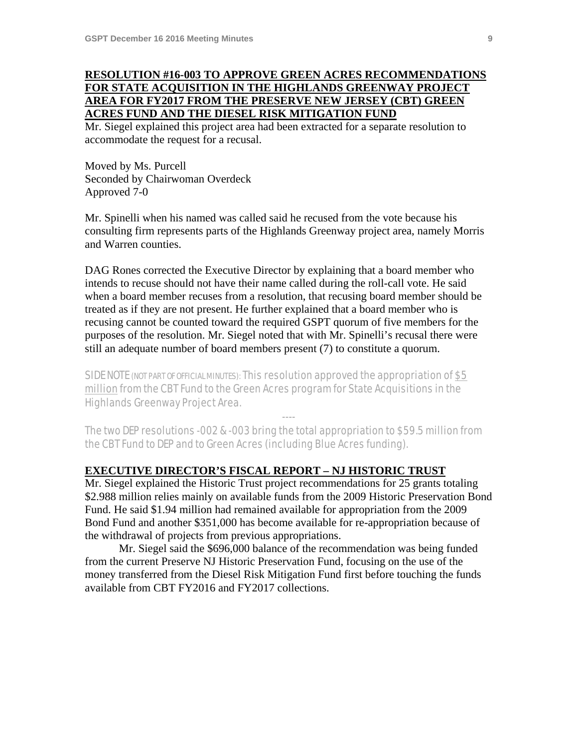# **RESOLUTION #16-003 TO APPROVE GREEN ACRES RECOMMENDATIONS FOR STATE ACQUISITION IN THE HIGHLANDS GREENWAY PROJECT AREA FOR FY2017 FROM THE PRESERVE NEW JERSEY (CBT) GREEN ACRES FUND AND THE DIESEL RISK MITIGATION FUND**

Mr. Siegel explained this project area had been extracted for a separate resolution to accommodate the request for a recusal.

Moved by Ms. Purcell Seconded by Chairwoman Overdeck Approved 7-0

Mr. Spinelli when his named was called said he recused from the vote because his consulting firm represents parts of the Highlands Greenway project area, namely Morris and Warren counties.

DAG Rones corrected the Executive Director by explaining that a board member who intends to recuse should not have their name called during the roll-call vote. He said when a board member recuses from a resolution, that recusing board member should be treated as if they are not present. He further explained that a board member who is recusing cannot be counted toward the required GSPT quorum of five members for the purposes of the resolution. Mr. Siegel noted that with Mr. Spinelli's recusal there were still an adequate number of board members present (7) to constitute a quorum.

SIDE NOTE (NOT PART OF OFFICIAL MINUTES): This resolution approved the appropriation of \$5 million from the CBT Fund to the Green Acres program for State Acquisitions in the Highlands Greenway Project Area.

The two DEP resolutions -002 & -003 bring the total appropriation to \$59.5 million from the CBT Fund to DEP and to Green Acres (including Blue Acres funding).

----

### **EXECUTIVE DIRECTOR'S FISCAL REPORT – NJ HISTORIC TRUST**

Mr. Siegel explained the Historic Trust project recommendations for 25 grants totaling \$2.988 million relies mainly on available funds from the 2009 Historic Preservation Bond Fund. He said \$1.94 million had remained available for appropriation from the 2009 Bond Fund and another \$351,000 has become available for re-appropriation because of the withdrawal of projects from previous appropriations.

 Mr. Siegel said the \$696,000 balance of the recommendation was being funded from the current Preserve NJ Historic Preservation Fund, focusing on the use of the money transferred from the Diesel Risk Mitigation Fund first before touching the funds available from CBT FY2016 and FY2017 collections.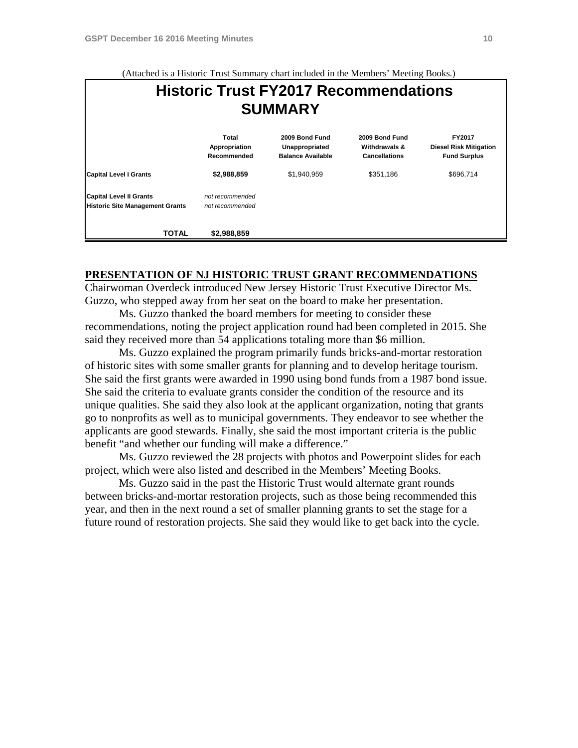**Historic Trust FY2017 Recommendations SUMMARY Total 2009 Bond Fund 2009 Bond Fund FY2017 Appropriation Unappropriated Withdrawals & Diesel Risk Mitigation Recommended Balance Available Cancellations Fund Surplus Capital Level I Grants \$2,988,859** \$1,940,959 \$351,186 \$696,714 **Capital Level II Grants** *not recommended* **Historic Site Management Grants** *not recommended* **TOTAL \$2,988,859**

# **PRESENTATION OF NJ HISTORIC TRUST GRANT RECOMMENDATIONS**

Chairwoman Overdeck introduced New Jersey Historic Trust Executive Director Ms. Guzzo, who stepped away from her seat on the board to make her presentation.

 Ms. Guzzo thanked the board members for meeting to consider these recommendations, noting the project application round had been completed in 2015. She said they received more than 54 applications totaling more than \$6 million.

 Ms. Guzzo explained the program primarily funds bricks-and-mortar restoration of historic sites with some smaller grants for planning and to develop heritage tourism. She said the first grants were awarded in 1990 using bond funds from a 1987 bond issue. She said the criteria to evaluate grants consider the condition of the resource and its unique qualities. She said they also look at the applicant organization, noting that grants go to nonprofits as well as to municipal governments. They endeavor to see whether the applicants are good stewards. Finally, she said the most important criteria is the public benefit "and whether our funding will make a difference."

 Ms. Guzzo reviewed the 28 projects with photos and Powerpoint slides for each project, which were also listed and described in the Members' Meeting Books.

 Ms. Guzzo said in the past the Historic Trust would alternate grant rounds between bricks-and-mortar restoration projects, such as those being recommended this year, and then in the next round a set of smaller planning grants to set the stage for a future round of restoration projects. She said they would like to get back into the cycle.

#### (Attached is a Historic Trust Summary chart included in the Members' Meeting Books.)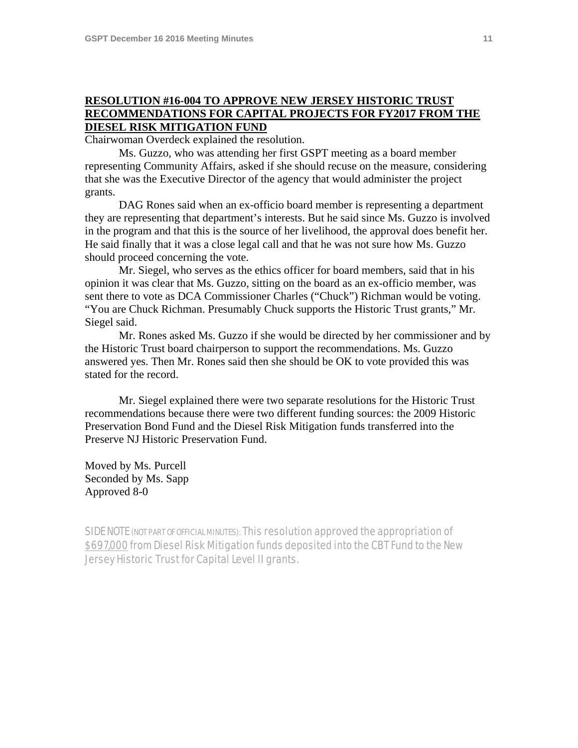# **RESOLUTION #16-004 TO APPROVE NEW JERSEY HISTORIC TRUST RECOMMENDATIONS FOR CAPITAL PROJECTS FOR FY2017 FROM THE DIESEL RISK MITIGATION FUND**

Chairwoman Overdeck explained the resolution.

 Ms. Guzzo, who was attending her first GSPT meeting as a board member representing Community Affairs, asked if she should recuse on the measure, considering that she was the Executive Director of the agency that would administer the project grants.

 DAG Rones said when an ex-officio board member is representing a department they are representing that department's interests. But he said since Ms. Guzzo is involved in the program and that this is the source of her livelihood, the approval does benefit her. He said finally that it was a close legal call and that he was not sure how Ms. Guzzo should proceed concerning the vote.

 Mr. Siegel, who serves as the ethics officer for board members, said that in his opinion it was clear that Ms. Guzzo, sitting on the board as an ex-officio member, was sent there to vote as DCA Commissioner Charles ("Chuck") Richman would be voting. "You are Chuck Richman. Presumably Chuck supports the Historic Trust grants," Mr. Siegel said.

 Mr. Rones asked Ms. Guzzo if she would be directed by her commissioner and by the Historic Trust board chairperson to support the recommendations. Ms. Guzzo answered yes. Then Mr. Rones said then she should be OK to vote provided this was stated for the record.

 Mr. Siegel explained there were two separate resolutions for the Historic Trust recommendations because there were two different funding sources: the 2009 Historic Preservation Bond Fund and the Diesel Risk Mitigation funds transferred into the Preserve NJ Historic Preservation Fund.

Moved by Ms. Purcell Seconded by Ms. Sapp Approved 8-0

SIDE NOTE (NOT PART OF OFFICIAL MINUTES): This resolution approved the appropriation of \$697,000 from Diesel Risk Mitigation funds deposited into the CBT Fund to the New Jersey Historic Trust for Capital Level II grants.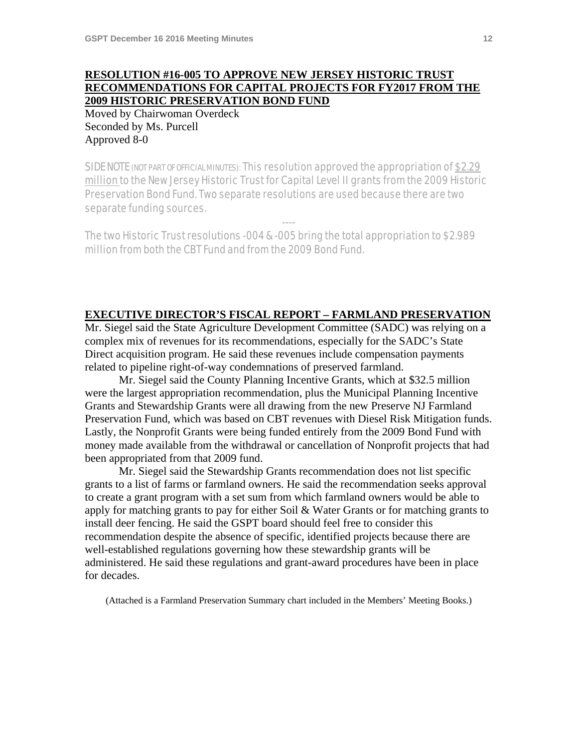# **RESOLUTION #16-005 TO APPROVE NEW JERSEY HISTORIC TRUST RECOMMENDATIONS FOR CAPITAL PROJECTS FOR FY2017 FROM THE 2009 HISTORIC PRESERVATION BOND FUND**

Moved by Chairwoman Overdeck Seconded by Ms. Purcell Approved 8-0

SIDE NOTE (NOT PART OF OFFICIAL MINUTES): This resolution approved the appropriation of \$2.29 million to the New Jersey Historic Trust for Capital Level II grants from the 2009 Historic Preservation Bond Fund. Two separate resolutions are used because there are two separate funding sources.

----

The two Historic Trust resolutions -004 & -005 bring the total appropriation to \$2.989 million from both the CBT Fund and from the 2009 Bond Fund.

#### **EXECUTIVE DIRECTOR'S FISCAL REPORT – FARMLAND PRESERVATION**

Mr. Siegel said the State Agriculture Development Committee (SADC) was relying on a complex mix of revenues for its recommendations, especially for the SADC's State Direct acquisition program. He said these revenues include compensation payments related to pipeline right-of-way condemnations of preserved farmland.

 Mr. Siegel said the County Planning Incentive Grants, which at \$32.5 million were the largest appropriation recommendation, plus the Municipal Planning Incentive Grants and Stewardship Grants were all drawing from the new Preserve NJ Farmland Preservation Fund, which was based on CBT revenues with Diesel Risk Mitigation funds. Lastly, the Nonprofit Grants were being funded entirely from the 2009 Bond Fund with money made available from the withdrawal or cancellation of Nonprofit projects that had been appropriated from that 2009 fund.

 Mr. Siegel said the Stewardship Grants recommendation does not list specific grants to a list of farms or farmland owners. He said the recommendation seeks approval to create a grant program with a set sum from which farmland owners would be able to apply for matching grants to pay for either Soil & Water Grants or for matching grants to install deer fencing. He said the GSPT board should feel free to consider this recommendation despite the absence of specific, identified projects because there are well-established regulations governing how these stewardship grants will be administered. He said these regulations and grant-award procedures have been in place for decades.

(Attached is a Farmland Preservation Summary chart included in the Members' Meeting Books.)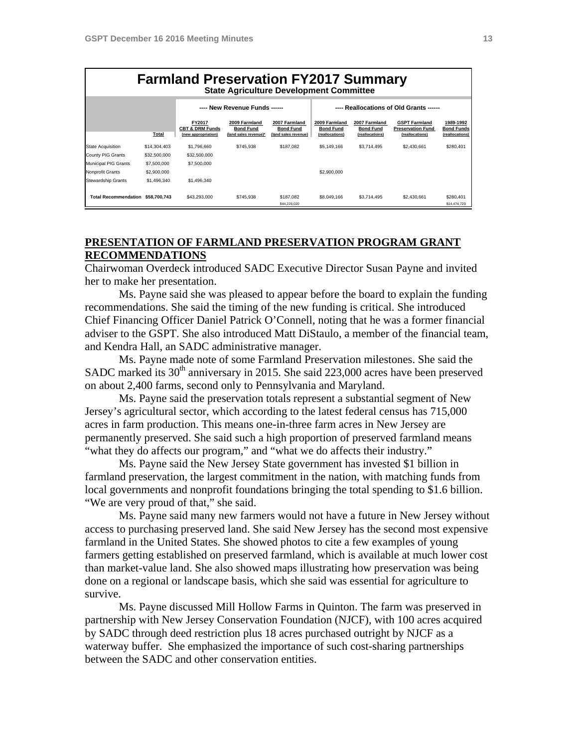| <b>Farmland Preservation FY2017 Summary</b><br><b>State Agriculture Development Committee</b> |              |                                                             |                                                            |                                                           |                                                      |                                                      |                                                                     |                                                   |  |
|-----------------------------------------------------------------------------------------------|--------------|-------------------------------------------------------------|------------------------------------------------------------|-----------------------------------------------------------|------------------------------------------------------|------------------------------------------------------|---------------------------------------------------------------------|---------------------------------------------------|--|
|                                                                                               |              | ---- New Revenue Funds -----                                |                                                            |                                                           | ---- Reallocations of Old Grants -----               |                                                      |                                                                     |                                                   |  |
|                                                                                               | <b>Total</b> | FY2017<br><b>CBT &amp; DRM Funds</b><br>(new appropriation) | 2009 Farmland<br><b>Bond Fund</b><br>(land sales revenue)* | 2007 Farmland<br><b>Bond Fund</b><br>(land sales revenue) | 2009 Farmland<br><b>Bond Fund</b><br>(reallocations) | 2007 Farmland<br><b>Bond Fund</b><br>(reallocations) | <b>GSPT Farmland</b><br><b>Preservation Fund</b><br>(reallocations) | 1989-1992<br><b>Bond Funds</b><br>(reallocations) |  |
| State Acquisition                                                                             | \$14,304,403 | \$1,796,660                                                 | \$745.938                                                  | \$187,082                                                 | \$5,149,166                                          | \$3,714,495                                          | \$2.430.661                                                         | \$280.401                                         |  |
| County PIG Grants                                                                             | \$32,500,000 | \$32,500,000                                                |                                                            |                                                           |                                                      |                                                      |                                                                     |                                                   |  |
| Municipal PIG Grants                                                                          | \$7,500,000  | \$7,500,000                                                 |                                                            |                                                           |                                                      |                                                      |                                                                     |                                                   |  |
| Nonprofit Grants                                                                              | \$2,900,000  |                                                             |                                                            |                                                           | \$2,900,000                                          |                                                      |                                                                     |                                                   |  |
| Stewardship Grants                                                                            | \$1,496,340  | \$1,496,340                                                 |                                                            |                                                           |                                                      |                                                      |                                                                     |                                                   |  |
| <b>Total Recommendation</b>                                                                   | \$58.700.743 | \$43,293,000                                                | \$745.938                                                  | \$187,082<br>\$44,226,020                                 | \$8,049,166                                          | \$3,714,495                                          | \$2,430,661                                                         | \$280,401<br>\$14,474,723                         |  |

# **PRESENTATION OF FARMLAND PRESERVATION PROGRAM GRANT RECOMMENDATIONS**

Chairwoman Overdeck introduced SADC Executive Director Susan Payne and invited her to make her presentation.

 Ms. Payne said she was pleased to appear before the board to explain the funding recommendations. She said the timing of the new funding is critical. She introduced Chief Financing Officer Daniel Patrick O'Connell, noting that he was a former financial adviser to the GSPT. She also introduced Matt DiStaulo, a member of the financial team, and Kendra Hall, an SADC administrative manager.

 Ms. Payne made note of some Farmland Preservation milestones. She said the SADC marked its 30<sup>th</sup> anniversary in 2015. She said 223,000 acres have been preserved on about 2,400 farms, second only to Pennsylvania and Maryland.

 Ms. Payne said the preservation totals represent a substantial segment of New Jersey's agricultural sector, which according to the latest federal census has 715,000 acres in farm production. This means one-in-three farm acres in New Jersey are permanently preserved. She said such a high proportion of preserved farmland means "what they do affects our program," and "what we do affects their industry."

 Ms. Payne said the New Jersey State government has invested \$1 billion in farmland preservation, the largest commitment in the nation, with matching funds from local governments and nonprofit foundations bringing the total spending to \$1.6 billion. "We are very proud of that," she said.

 Ms. Payne said many new farmers would not have a future in New Jersey without access to purchasing preserved land. She said New Jersey has the second most expensive farmland in the United States. She showed photos to cite a few examples of young farmers getting established on preserved farmland, which is available at much lower cost than market-value land. She also showed maps illustrating how preservation was being done on a regional or landscape basis, which she said was essential for agriculture to survive.

 Ms. Payne discussed Mill Hollow Farms in Quinton. The farm was preserved in partnership with New Jersey Conservation Foundation (NJCF), with 100 acres acquired by SADC through deed restriction plus 18 acres purchased outright by NJCF as a waterway buffer. She emphasized the importance of such cost-sharing partnerships between the SADC and other conservation entities.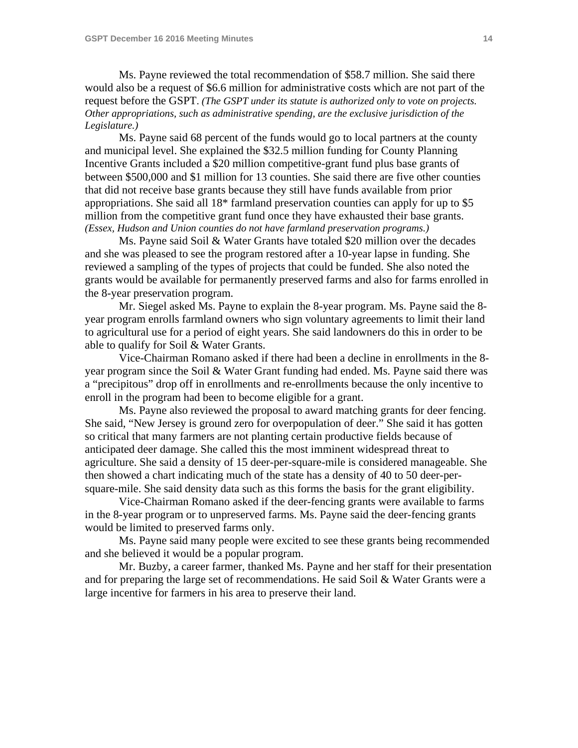Ms. Payne reviewed the total recommendation of \$58.7 million. She said there would also be a request of \$6.6 million for administrative costs which are not part of the request before the GSPT. *(The GSPT under its statute is authorized only to vote on projects. Other appropriations, such as administrative spending, are the exclusive jurisdiction of the Legislature.)* 

 Ms. Payne said 68 percent of the funds would go to local partners at the county and municipal level. She explained the \$32.5 million funding for County Planning Incentive Grants included a \$20 million competitive-grant fund plus base grants of between \$500,000 and \$1 million for 13 counties. She said there are five other counties that did not receive base grants because they still have funds available from prior appropriations. She said all 18\* farmland preservation counties can apply for up to \$5 million from the competitive grant fund once they have exhausted their base grants. *(Essex, Hudson and Union counties do not have farmland preservation programs.)* 

 Ms. Payne said Soil & Water Grants have totaled \$20 million over the decades and she was pleased to see the program restored after a 10-year lapse in funding. She reviewed a sampling of the types of projects that could be funded. She also noted the grants would be available for permanently preserved farms and also for farms enrolled in the 8-year preservation program.

 Mr. Siegel asked Ms. Payne to explain the 8-year program. Ms. Payne said the 8 year program enrolls farmland owners who sign voluntary agreements to limit their land to agricultural use for a period of eight years. She said landowners do this in order to be able to qualify for Soil & Water Grants.

 Vice-Chairman Romano asked if there had been a decline in enrollments in the 8 year program since the Soil & Water Grant funding had ended. Ms. Payne said there was a "precipitous" drop off in enrollments and re-enrollments because the only incentive to enroll in the program had been to become eligible for a grant.

 Ms. Payne also reviewed the proposal to award matching grants for deer fencing. She said, "New Jersey is ground zero for overpopulation of deer." She said it has gotten so critical that many farmers are not planting certain productive fields because of anticipated deer damage. She called this the most imminent widespread threat to agriculture. She said a density of 15 deer-per-square-mile is considered manageable. She then showed a chart indicating much of the state has a density of 40 to 50 deer-persquare-mile. She said density data such as this forms the basis for the grant eligibility.

 Vice-Chairman Romano asked if the deer-fencing grants were available to farms in the 8-year program or to unpreserved farms. Ms. Payne said the deer-fencing grants would be limited to preserved farms only.

 Ms. Payne said many people were excited to see these grants being recommended and she believed it would be a popular program.

 Mr. Buzby, a career farmer, thanked Ms. Payne and her staff for their presentation and for preparing the large set of recommendations. He said Soil & Water Grants were a large incentive for farmers in his area to preserve their land.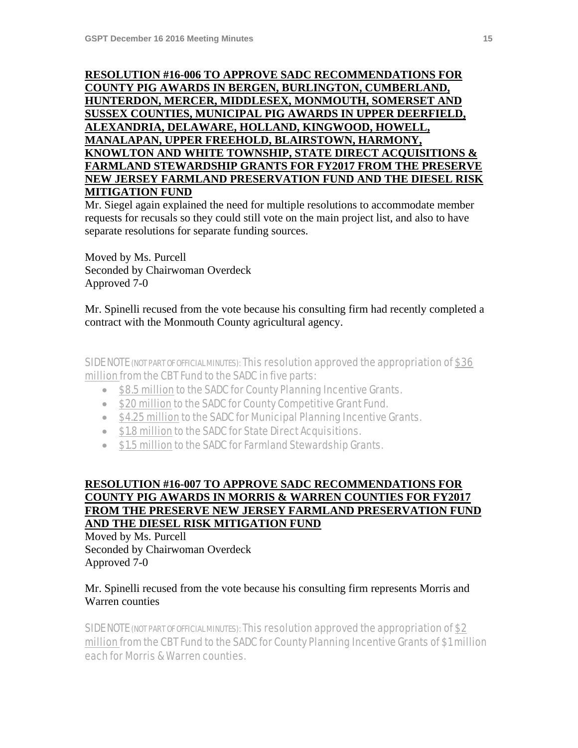# **RESOLUTION #16-006 TO APPROVE SADC RECOMMENDATIONS FOR COUNTY PIG AWARDS IN BERGEN, BURLINGTON, CUMBERLAND, HUNTERDON, MERCER, MIDDLESEX, MONMOUTH, SOMERSET AND SUSSEX COUNTIES, MUNICIPAL PIG AWARDS IN UPPER DEERFIELD, ALEXANDRIA, DELAWARE, HOLLAND, KINGWOOD, HOWELL, MANALAPAN, UPPER FREEHOLD, BLAIRSTOWN, HARMONY, KNOWLTON AND WHITE TOWNSHIP, STATE DIRECT ACQUISITIONS & FARMLAND STEWARDSHIP GRANTS FOR FY2017 FROM THE PRESERVE NEW JERSEY FARMLAND PRESERVATION FUND AND THE DIESEL RISK MITIGATION FUND**

Mr. Siegel again explained the need for multiple resolutions to accommodate member requests for recusals so they could still vote on the main project list, and also to have separate resolutions for separate funding sources.

Moved by Ms. Purcell Seconded by Chairwoman Overdeck Approved 7-0

Mr. Spinelli recused from the vote because his consulting firm had recently completed a contract with the Monmouth County agricultural agency.

SIDE NOTE (NOT PART OF OFFICIAL MINUTES): This resolution approved the appropriation of \$36 million from the CBT Fund to the SADC in five parts:

- \$8.5 million to the SADC for County Planning Incentive Grants.
- \$20 million to the SADC for County Competitive Grant Fund.
- \$4.25 million to the SADC for Municipal Planning Incentive Grants.
- $\bullet$  \$1.8 million to the SADC for State Direct Acquisitions.
- \$1.5 million to the SADC for Farmland Stewardship Grants.

# **RESOLUTION #16-007 TO APPROVE SADC RECOMMENDATIONS FOR COUNTY PIG AWARDS IN MORRIS & WARREN COUNTIES FOR FY2017 FROM THE PRESERVE NEW JERSEY FARMLAND PRESERVATION FUND AND THE DIESEL RISK MITIGATION FUND**

Moved by Ms. Purcell Seconded by Chairwoman Overdeck Approved 7-0

# Mr. Spinelli recused from the vote because his consulting firm represents Morris and Warren counties

SIDE NOTE (NOT PART OF OFFICIAL MINUTES): This resolution approved the appropriation of \$2 million from the CBT Fund to the SADC for County Planning Incentive Grants of \$1 million each for Morris & Warren counties.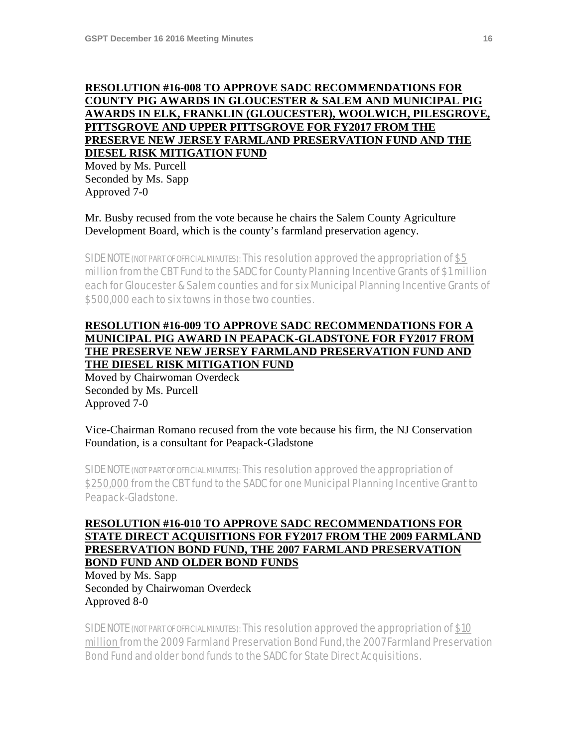# **RESOLUTION #16-008 TO APPROVE SADC RECOMMENDATIONS FOR COUNTY PIG AWARDS IN GLOUCESTER & SALEM AND MUNICIPAL PIG AWARDS IN ELK, FRANKLIN (GLOUCESTER), WOOLWICH, PILESGROVE, PITTSGROVE AND UPPER PITTSGROVE FOR FY2017 FROM THE PRESERVE NEW JERSEY FARMLAND PRESERVATION FUND AND THE DIESEL RISK MITIGATION FUND**

Moved by Ms. Purcell Seconded by Ms. Sapp Approved 7-0

Mr. Busby recused from the vote because he chairs the Salem County Agriculture Development Board, which is the county's farmland preservation agency.

SIDE NOTE (NOT PART OF OFFICIAL MINUTES): This resolution approved the appropriation of \$5 million from the CBT Fund to the SADC for County Planning Incentive Grants of \$1 million each for Gloucester & Salem counties and for six Municipal Planning Incentive Grants of \$500,000 each to six towns in those two counties.

# **RESOLUTION #16-009 TO APPROVE SADC RECOMMENDATIONS FOR A MUNICIPAL PIG AWARD IN PEAPACK-GLADSTONE FOR FY2017 FROM THE PRESERVE NEW JERSEY FARMLAND PRESERVATION FUND AND THE DIESEL RISK MITIGATION FUND**

Moved by Chairwoman Overdeck Seconded by Ms. Purcell Approved 7-0

Vice-Chairman Romano recused from the vote because his firm, the NJ Conservation Foundation, is a consultant for Peapack-Gladstone

SIDE NOTE (NOT PART OF OFFICIAL MINUTES): This resolution approved the appropriation of \$250,000 from the CBT fund to the SADC for one Municipal Planning Incentive Grant to Peapack-Gladstone.

# **RESOLUTION #16-010 TO APPROVE SADC RECOMMENDATIONS FOR STATE DIRECT ACQUISITIONS FOR FY2017 FROM THE 2009 FARMLAND PRESERVATION BOND FUND, THE 2007 FARMLAND PRESERVATION BOND FUND AND OLDER BOND FUNDS**

Moved by Ms. Sapp Seconded by Chairwoman Overdeck Approved 8-0

SIDE NOTE (NOT PART OF OFFICIAL MINUTES): This resolution approved the appropriation of \$10 million from the 2009 Farmland Preservation Bond Fund, the 2007 Farmland Preservation Bond Fund and older bond funds to the SADC for State Direct Acquisitions.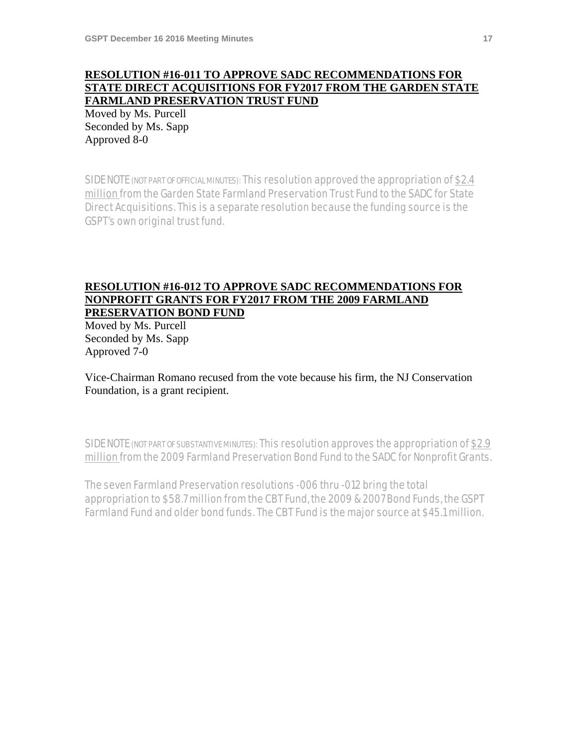# **RESOLUTION #16-011 TO APPROVE SADC RECOMMENDATIONS FOR STATE DIRECT ACQUISITIONS FOR FY2017 FROM THE GARDEN STATE FARMLAND PRESERVATION TRUST FUND**

Moved by Ms. Purcell Seconded by Ms. Sapp Approved 8-0

SIDE NOTE (NOT PART OF OFFICIAL MINUTES): This resolution approved the appropriation of \$2.4 million from the Garden State Farmland Preservation Trust Fund to the SADC for State Direct Acquisitions. This is a separate resolution because the funding source is the GSPT's own original trust fund.

#### **RESOLUTION #16-012 TO APPROVE SADC RECOMMENDATIONS FOR NONPROFIT GRANTS FOR FY2017 FROM THE 2009 FARMLAND PRESERVATION BOND FUND**

Moved by Ms. Purcell Seconded by Ms. Sapp Approved 7-0

Vice-Chairman Romano recused from the vote because his firm, the NJ Conservation Foundation, is a grant recipient.

SIDE NOTE (NOT PART OF SUBSTANTIVE MINUTES): This resolution approves the appropriation of \$2.9 million from the 2009 Farmland Preservation Bond Fund to the SADC for Nonprofit Grants.

The seven Farmland Preservation resolutions -006 thru -012 bring the total appropriation to \$58.7 million from the CBT Fund, the 2009 & 2007 Bond Funds, the GSPT Farmland Fund and older bond funds. The CBT Fund is the major source at \$45.1 million.